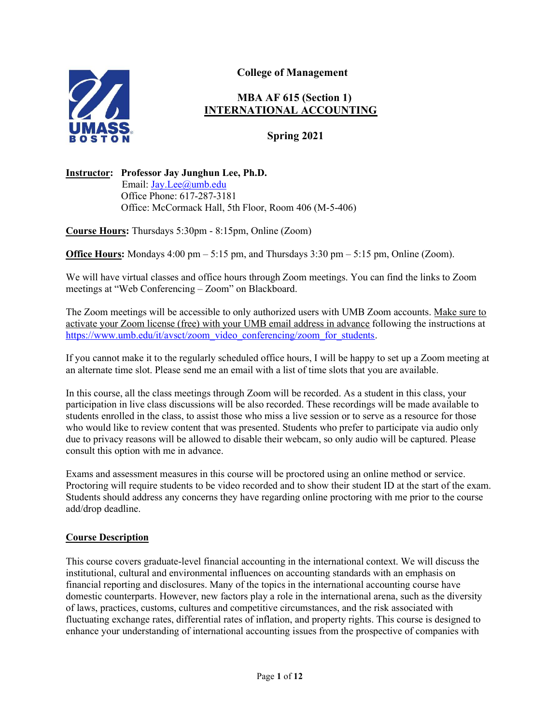

College of Management

# MBA AF 615 (Section 1) INTERNATIONAL ACCOUNTING

Spring 2021

## Instructor: Professor Jay Junghun Lee, Ph.D.

 Email: Jay.Lee@umb.edu Office Phone: 617-287-3181 Office: McCormack Hall, 5th Floor, Room 406 (M-5-406)

Course Hours: Thursdays 5:30pm - 8:15pm, Online (Zoom)

**Office Hours:** Mondays  $4:00 \text{ pm} - 5:15 \text{ pm}$ , and Thursdays  $3:30 \text{ pm} - 5:15 \text{ pm}$ , Online (Zoom).

We will have virtual classes and office hours through Zoom meetings. You can find the links to Zoom meetings at "Web Conferencing – Zoom" on Blackboard.

The Zoom meetings will be accessible to only authorized users with UMB Zoom accounts. Make sure to activate your Zoom license (free) with your UMB email address in advance following the instructions at https://www.umb.edu/it/avsct/zoom\_video\_conferencing/zoom\_for\_students.

If you cannot make it to the regularly scheduled office hours, I will be happy to set up a Zoom meeting at an alternate time slot. Please send me an email with a list of time slots that you are available.

In this course, all the class meetings through Zoom will be recorded. As a student in this class, your participation in live class discussions will be also recorded. These recordings will be made available to students enrolled in the class, to assist those who miss a live session or to serve as a resource for those who would like to review content that was presented. Students who prefer to participate via audio only due to privacy reasons will be allowed to disable their webcam, so only audio will be captured. Please consult this option with me in advance.

Exams and assessment measures in this course will be proctored using an online method or service. Proctoring will require students to be video recorded and to show their student ID at the start of the exam. Students should address any concerns they have regarding online proctoring with me prior to the course add/drop deadline.

#### Course Description

This course covers graduate-level financial accounting in the international context. We will discuss the institutional, cultural and environmental influences on accounting standards with an emphasis on financial reporting and disclosures. Many of the topics in the international accounting course have domestic counterparts. However, new factors play a role in the international arena, such as the diversity of laws, practices, customs, cultures and competitive circumstances, and the risk associated with fluctuating exchange rates, differential rates of inflation, and property rights. This course is designed to enhance your understanding of international accounting issues from the prospective of companies with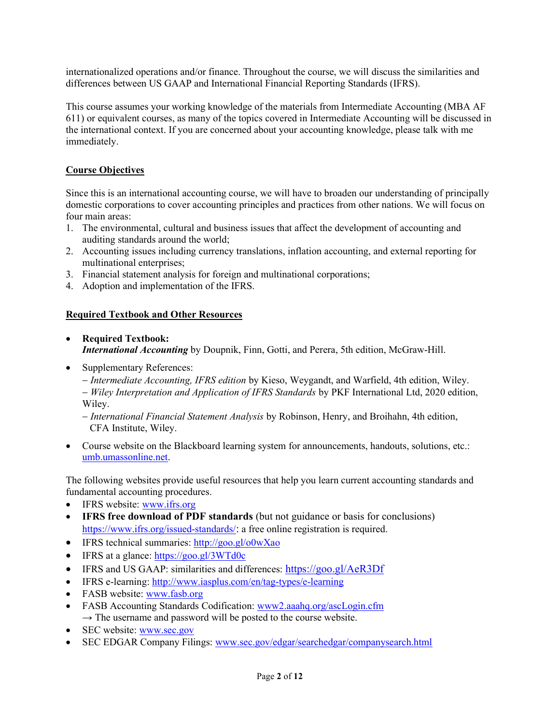internationalized operations and/or finance. Throughout the course, we will discuss the similarities and differences between US GAAP and International Financial Reporting Standards (IFRS).

This course assumes your working knowledge of the materials from Intermediate Accounting (MBA AF 611) or equivalent courses, as many of the topics covered in Intermediate Accounting will be discussed in the international context. If you are concerned about your accounting knowledge, please talk with me immediately.

## Course Objectives

Since this is an international accounting course, we will have to broaden our understanding of principally domestic corporations to cover accounting principles and practices from other nations. We will focus on four main areas:

- 1. The environmental, cultural and business issues that affect the development of accounting and auditing standards around the world;
- 2. Accounting issues including currency translations, inflation accounting, and external reporting for multinational enterprises;
- 3. Financial statement analysis for foreign and multinational corporations;
- 4. Adoption and implementation of the IFRS.

## Required Textbook and Other Resources

- Required Textbook: International Accounting by Doupnik, Finn, Gotti, and Perera, 5th edition, McGraw-Hill.
- Supplementary References:
	- Intermediate Accounting, IFRS edition by Kieso, Weygandt, and Warfield, 4th edition, Wiley.

– Wiley Interpretation and Application of IFRS Standards by PKF International Ltd, 2020 edition, Wiley.

- International Financial Statement Analysis by Robinson, Henry, and Broihahn, 4th edition, CFA Institute, Wiley.

 Course website on the Blackboard learning system for announcements, handouts, solutions, etc.: umb.umassonline.net.

The following websites provide useful resources that help you learn current accounting standards and fundamental accounting procedures.

- IFRS website: www.ifrs.org
- IFRS free download of PDF standards (but not guidance or basis for conclusions) https://www.ifrs.org/issued-standards/: a free online registration is required.
- IFRS technical summaries: http://goo.gl/o0wXao
- IFRS at a glance: https://goo.gl/3WTd0c
- IFRS and US GAAP: similarities and differences: https://goo.gl/AeR3Df
- IFRS e-learning: http://www.iasplus.com/en/tag-types/e-learning
- FASB website: www.fasb.org
- FASB Accounting Standards Codification: www2.aaahq.org/ascLogin.cfm  $\rightarrow$  The username and password will be posted to the course website.
- SEC website: www.sec.gov
- SEC EDGAR Company Filings: www.sec.gov/edgar/searchedgar/companysearch.html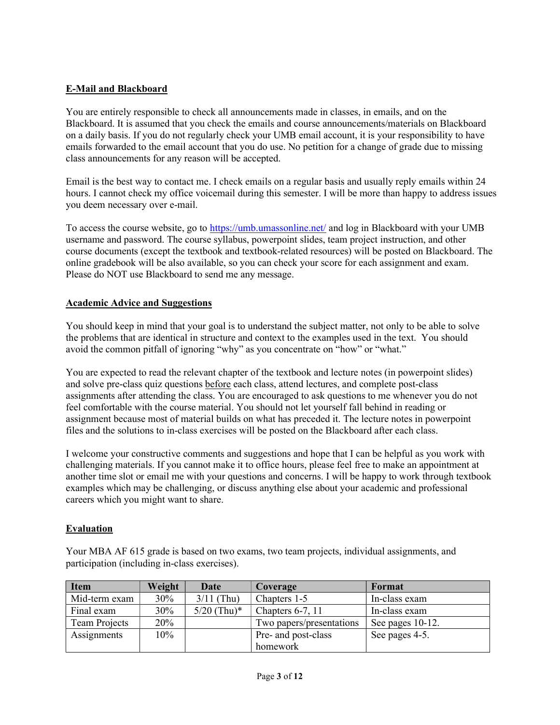## E-Mail and Blackboard

You are entirely responsible to check all announcements made in classes, in emails, and on the Blackboard. It is assumed that you check the emails and course announcements/materials on Blackboard on a daily basis. If you do not regularly check your UMB email account, it is your responsibility to have emails forwarded to the email account that you do use. No petition for a change of grade due to missing class announcements for any reason will be accepted.

Email is the best way to contact me. I check emails on a regular basis and usually reply emails within 24 hours. I cannot check my office voicemail during this semester. I will be more than happy to address issues you deem necessary over e-mail.

To access the course website, go to https://umb.umassonline.net/ and log in Blackboard with your UMB username and password. The course syllabus, powerpoint slides, team project instruction, and other course documents (except the textbook and textbook-related resources) will be posted on Blackboard. The online gradebook will be also available, so you can check your score for each assignment and exam. Please do NOT use Blackboard to send me any message.

#### Academic Advice and Suggestions

You should keep in mind that your goal is to understand the subject matter, not only to be able to solve the problems that are identical in structure and context to the examples used in the text. You should avoid the common pitfall of ignoring "why" as you concentrate on "how" or "what."

You are expected to read the relevant chapter of the textbook and lecture notes (in powerpoint slides) and solve pre-class quiz questions before each class, attend lectures, and complete post-class assignments after attending the class. You are encouraged to ask questions to me whenever you do not feel comfortable with the course material. You should not let yourself fall behind in reading or assignment because most of material builds on what has preceded it. The lecture notes in powerpoint files and the solutions to in-class exercises will be posted on the Blackboard after each class.

I welcome your constructive comments and suggestions and hope that I can be helpful as you work with challenging materials. If you cannot make it to office hours, please feel free to make an appointment at another time slot or email me with your questions and concerns. I will be happy to work through textbook examples which may be challenging, or discuss anything else about your academic and professional careers which you might want to share.

## Evaluation

Your MBA AF 615 grade is based on two exams, two team projects, individual assignments, and participation (including in-class exercises).

| <b>Item</b>   | Weight | Date          | Coverage                 | Format           |
|---------------|--------|---------------|--------------------------|------------------|
| Mid-term exam | 30%    | $3/11$ (Thu)  | Chapters 1-5             | In-class exam    |
| Final exam    | 30%    | $5/20$ (Thu)* | Chapters $6-7$ , 11      | In-class exam    |
| Team Projects | 20%    |               | Two papers/presentations | See pages 10-12. |
| Assignments   | $10\%$ |               | Pre- and post-class      | See pages 4-5.   |
|               |        |               | homework                 |                  |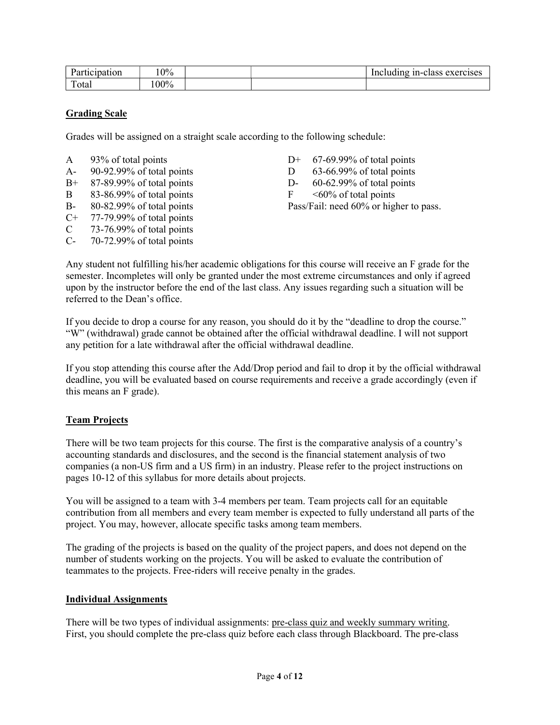| Participation | 0%      |  | Including in-class exercises |
|---------------|---------|--|------------------------------|
| m<br>otal     | $.00\%$ |  |                              |

## Grading Scale

Grades will be assigned on a straight scale according to the following schedule:

| A    | 93% of total points       |
|------|---------------------------|
| $A-$ | 90-92.99% of total points |
| $B+$ | 87-89.99% of total points |
| B    | 83-86.99% of total points |
| $B-$ | 80-82.99% of total points |
| $C+$ | 77-79.99% of total points |
| C    | 73-76.99% of total points |

C- 70-72.99% of total points

- $D+ 67-69.99%$  of total points
- D  $-63-66.99\%$  of total points
- D- $60-62.99%$  of total points

 $F \sim 60\%$  of total points Pass/Fail: need 60% or higher to pass.

Any student not fulfilling his/her academic obligations for this course will receive an F grade for the semester. Incompletes will only be granted under the most extreme circumstances and only if agreed upon by the instructor before the end of the last class. Any issues regarding such a situation will be referred to the Dean's office.

If you decide to drop a course for any reason, you should do it by the "deadline to drop the course." "W" (withdrawal) grade cannot be obtained after the official withdrawal deadline. I will not support any petition for a late withdrawal after the official withdrawal deadline.

If you stop attending this course after the Add/Drop period and fail to drop it by the official withdrawal deadline, you will be evaluated based on course requirements and receive a grade accordingly (even if this means an F grade).

## **Team Projects**

There will be two team projects for this course. The first is the comparative analysis of a country's accounting standards and disclosures, and the second is the financial statement analysis of two companies (a non-US firm and a US firm) in an industry. Please refer to the project instructions on pages 10-12 of this syllabus for more details about projects.

You will be assigned to a team with 3-4 members per team. Team projects call for an equitable contribution from all members and every team member is expected to fully understand all parts of the project. You may, however, allocate specific tasks among team members.

The grading of the projects is based on the quality of the project papers, and does not depend on the number of students working on the projects. You will be asked to evaluate the contribution of teammates to the projects. Free-riders will receive penalty in the grades.

## Individual Assignments

There will be two types of individual assignments: pre-class quiz and weekly summary writing. First, you should complete the pre-class quiz before each class through Blackboard. The pre-class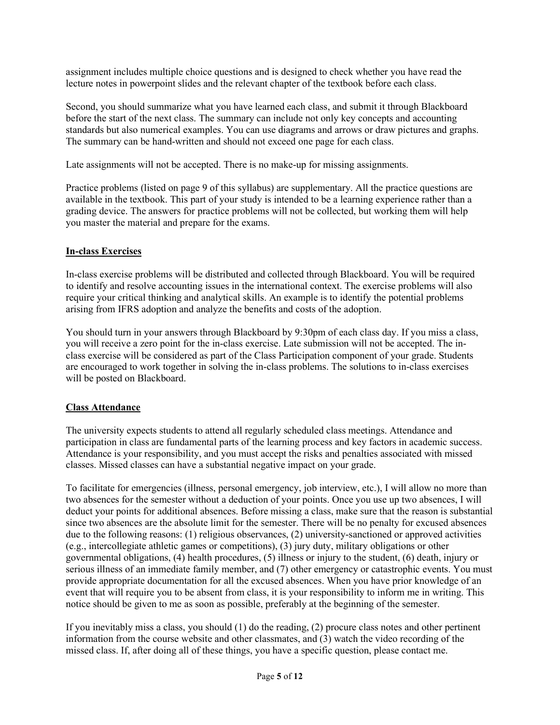assignment includes multiple choice questions and is designed to check whether you have read the lecture notes in powerpoint slides and the relevant chapter of the textbook before each class.

Second, you should summarize what you have learned each class, and submit it through Blackboard before the start of the next class. The summary can include not only key concepts and accounting standards but also numerical examples. You can use diagrams and arrows or draw pictures and graphs. The summary can be hand-written and should not exceed one page for each class.

Late assignments will not be accepted. There is no make-up for missing assignments.

Practice problems (listed on page 9 of this syllabus) are supplementary. All the practice questions are available in the textbook. This part of your study is intended to be a learning experience rather than a grading device. The answers for practice problems will not be collected, but working them will help you master the material and prepare for the exams.

## **In-class Exercises**

In-class exercise problems will be distributed and collected through Blackboard. You will be required to identify and resolve accounting issues in the international context. The exercise problems will also require your critical thinking and analytical skills. An example is to identify the potential problems arising from IFRS adoption and analyze the benefits and costs of the adoption.

You should turn in your answers through Blackboard by 9:30pm of each class day. If you miss a class, you will receive a zero point for the in-class exercise. Late submission will not be accepted. The inclass exercise will be considered as part of the Class Participation component of your grade. Students are encouraged to work together in solving the in-class problems. The solutions to in-class exercises will be posted on Blackboard.

# Class Attendance

The university expects students to attend all regularly scheduled class meetings. Attendance and participation in class are fundamental parts of the learning process and key factors in academic success. Attendance is your responsibility, and you must accept the risks and penalties associated with missed classes. Missed classes can have a substantial negative impact on your grade.

To facilitate for emergencies (illness, personal emergency, job interview, etc.), I will allow no more than two absences for the semester without a deduction of your points. Once you use up two absences, I will deduct your points for additional absences. Before missing a class, make sure that the reason is substantial since two absences are the absolute limit for the semester. There will be no penalty for excused absences due to the following reasons: (1) religious observances, (2) university-sanctioned or approved activities (e.g., intercollegiate athletic games or competitions), (3) jury duty, military obligations or other governmental obligations, (4) health procedures, (5) illness or injury to the student, (6) death, injury or serious illness of an immediate family member, and (7) other emergency or catastrophic events. You must provide appropriate documentation for all the excused absences. When you have prior knowledge of an event that will require you to be absent from class, it is your responsibility to inform me in writing. This notice should be given to me as soon as possible, preferably at the beginning of the semester.

If you inevitably miss a class, you should (1) do the reading, (2) procure class notes and other pertinent information from the course website and other classmates, and (3) watch the video recording of the missed class. If, after doing all of these things, you have a specific question, please contact me.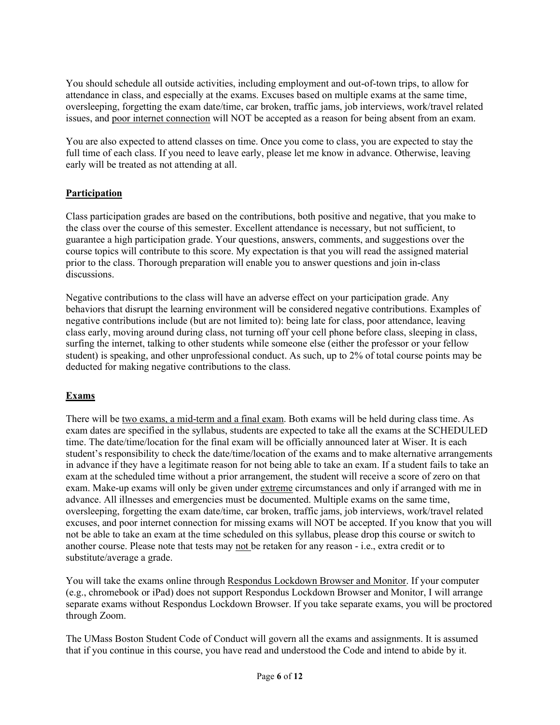You should schedule all outside activities, including employment and out-of-town trips, to allow for attendance in class, and especially at the exams. Excuses based on multiple exams at the same time, oversleeping, forgetting the exam date/time, car broken, traffic jams, job interviews, work/travel related issues, and poor internet connection will NOT be accepted as a reason for being absent from an exam.

You are also expected to attend classes on time. Once you come to class, you are expected to stay the full time of each class. If you need to leave early, please let me know in advance. Otherwise, leaving early will be treated as not attending at all.

## **Participation**

Class participation grades are based on the contributions, both positive and negative, that you make to the class over the course of this semester. Excellent attendance is necessary, but not sufficient, to guarantee a high participation grade. Your questions, answers, comments, and suggestions over the course topics will contribute to this score. My expectation is that you will read the assigned material prior to the class. Thorough preparation will enable you to answer questions and join in-class discussions.

Negative contributions to the class will have an adverse effect on your participation grade. Any behaviors that disrupt the learning environment will be considered negative contributions. Examples of negative contributions include (but are not limited to): being late for class, poor attendance, leaving class early, moving around during class, not turning off your cell phone before class, sleeping in class, surfing the internet, talking to other students while someone else (either the professor or your fellow student) is speaking, and other unprofessional conduct. As such, up to 2% of total course points may be deducted for making negative contributions to the class.

# Exams

There will be two exams, a mid-term and a final exam. Both exams will be held during class time. As exam dates are specified in the syllabus, students are expected to take all the exams at the SCHEDULED time. The date/time/location for the final exam will be officially announced later at Wiser. It is each student's responsibility to check the date/time/location of the exams and to make alternative arrangements in advance if they have a legitimate reason for not being able to take an exam. If a student fails to take an exam at the scheduled time without a prior arrangement, the student will receive a score of zero on that exam. Make-up exams will only be given under extreme circumstances and only if arranged with me in advance. All illnesses and emergencies must be documented. Multiple exams on the same time, oversleeping, forgetting the exam date/time, car broken, traffic jams, job interviews, work/travel related excuses, and poor internet connection for missing exams will NOT be accepted. If you know that you will not be able to take an exam at the time scheduled on this syllabus, please drop this course or switch to another course. Please note that tests may not be retaken for any reason - i.e., extra credit or to substitute/average a grade.

You will take the exams online through Respondus Lockdown Browser and Monitor. If your computer (e.g., chromebook or iPad) does not support Respondus Lockdown Browser and Monitor, I will arrange separate exams without Respondus Lockdown Browser. If you take separate exams, you will be proctored through Zoom.

The UMass Boston Student Code of Conduct will govern all the exams and assignments. It is assumed that if you continue in this course, you have read and understood the Code and intend to abide by it.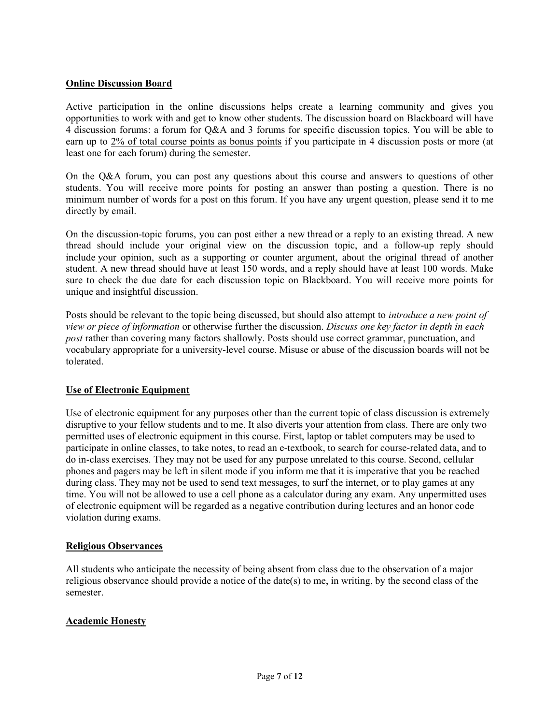#### Online Discussion Board

Active participation in the online discussions helps create a learning community and gives you opportunities to work with and get to know other students. The discussion board on Blackboard will have 4 discussion forums: a forum for Q&A and 3 forums for specific discussion topics. You will be able to earn up to 2% of total course points as bonus points if you participate in 4 discussion posts or more (at least one for each forum) during the semester.

On the Q&A forum, you can post any questions about this course and answers to questions of other students. You will receive more points for posting an answer than posting a question. There is no minimum number of words for a post on this forum. If you have any urgent question, please send it to me directly by email.

On the discussion-topic forums, you can post either a new thread or a reply to an existing thread. A new thread should include your original view on the discussion topic, and a follow-up reply should include your opinion, such as a supporting or counter argument, about the original thread of another student. A new thread should have at least 150 words, and a reply should have at least 100 words. Make sure to check the due date for each discussion topic on Blackboard. You will receive more points for unique and insightful discussion.

Posts should be relevant to the topic being discussed, but should also attempt to *introduce a new point of* view or piece of information or otherwise further the discussion. Discuss one key factor in depth in each post rather than covering many factors shallowly. Posts should use correct grammar, punctuation, and vocabulary appropriate for a university-level course. Misuse or abuse of the discussion boards will not be tolerated.

## Use of Electronic Equipment

Use of electronic equipment for any purposes other than the current topic of class discussion is extremely disruptive to your fellow students and to me. It also diverts your attention from class. There are only two permitted uses of electronic equipment in this course. First, laptop or tablet computers may be used to participate in online classes, to take notes, to read an e-textbook, to search for course-related data, and to do in-class exercises. They may not be used for any purpose unrelated to this course. Second, cellular phones and pagers may be left in silent mode if you inform me that it is imperative that you be reached during class. They may not be used to send text messages, to surf the internet, or to play games at any time. You will not be allowed to use a cell phone as a calculator during any exam. Any unpermitted uses of electronic equipment will be regarded as a negative contribution during lectures and an honor code violation during exams.

#### Religious Observances

All students who anticipate the necessity of being absent from class due to the observation of a major religious observance should provide a notice of the date(s) to me, in writing, by the second class of the semester.

#### Academic Honesty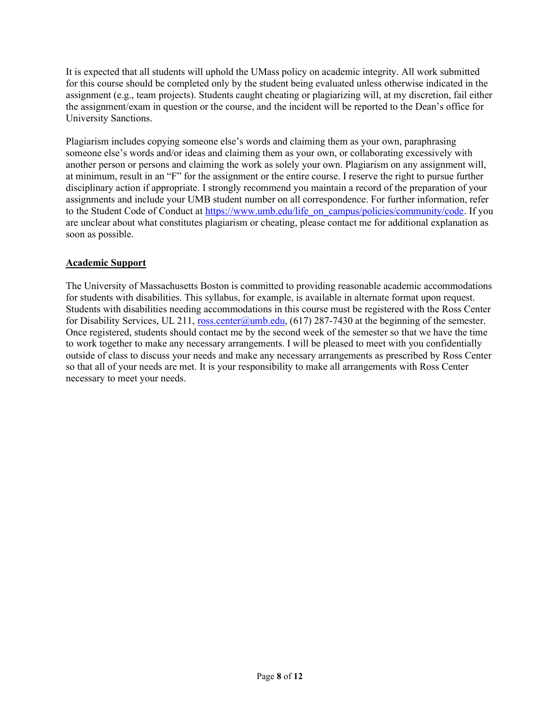It is expected that all students will uphold the UMass policy on academic integrity. All work submitted for this course should be completed only by the student being evaluated unless otherwise indicated in the assignment (e.g., team projects). Students caught cheating or plagiarizing will, at my discretion, fail either the assignment/exam in question or the course, and the incident will be reported to the Dean's office for University Sanctions.

Plagiarism includes copying someone else's words and claiming them as your own, paraphrasing someone else's words and/or ideas and claiming them as your own, or collaborating excessively with another person or persons and claiming the work as solely your own. Plagiarism on any assignment will, at minimum, result in an "F" for the assignment or the entire course. I reserve the right to pursue further disciplinary action if appropriate. I strongly recommend you maintain a record of the preparation of your assignments and include your UMB student number on all correspondence. For further information, refer to the Student Code of Conduct at https://www.umb.edu/life\_on\_campus/policies/community/code. If you are unclear about what constitutes plagiarism or cheating, please contact me for additional explanation as soon as possible.

## Academic Support

The University of Massachusetts Boston is committed to providing reasonable academic accommodations for students with disabilities. This syllabus, for example, is available in alternate format upon request. Students with disabilities needing accommodations in this course must be registered with the Ross Center for Disability Services, UL 211, ross.center@umb.edu, (617) 287-7430 at the beginning of the semester. Once registered, students should contact me by the second week of the semester so that we have the time to work together to make any necessary arrangements. I will be pleased to meet with you confidentially outside of class to discuss your needs and make any necessary arrangements as prescribed by Ross Center so that all of your needs are met. It is your responsibility to make all arrangements with Ross Center necessary to meet your needs.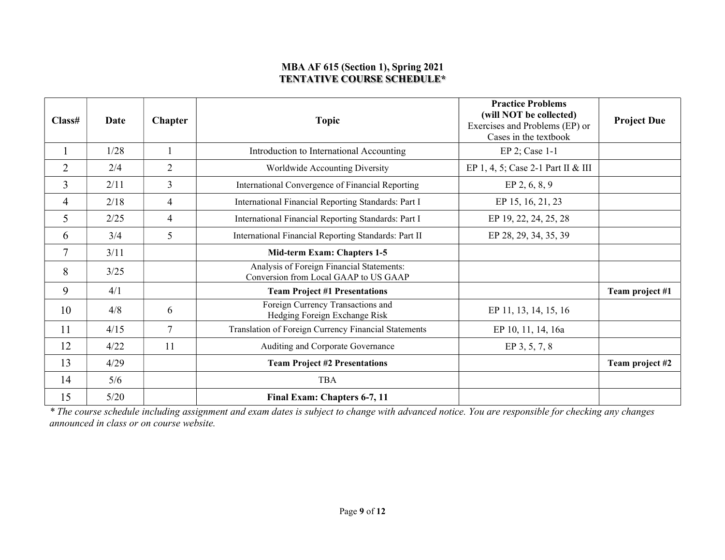## MBA AF 615 (Section 1), Spring 2021 TENTATIVE COURSE SCHEDULE\*

| Class#         | <b>Date</b> | <b>Chapter</b> | <b>Topic</b>                                                                       | <b>Practice Problems</b><br>(will NOT be collected)<br>Exercises and Problems (EP) or<br>Cases in the textbook | <b>Project Due</b> |
|----------------|-------------|----------------|------------------------------------------------------------------------------------|----------------------------------------------------------------------------------------------------------------|--------------------|
|                | 1/28        |                | Introduction to International Accounting                                           | $EP$ 2; Case 1-1                                                                                               |                    |
| $\overline{2}$ | 2/4         | $\overline{2}$ | Worldwide Accounting Diversity                                                     | EP 1, 4, 5; Case 2-1 Part II & III                                                                             |                    |
| $\mathfrak{Z}$ | 2/11        | $\mathfrak{Z}$ | International Convergence of Financial Reporting                                   | EP 2, 6, 8, 9                                                                                                  |                    |
| 4              | 2/18        | $\overline{4}$ | International Financial Reporting Standards: Part I                                | EP 15, 16, 21, 23                                                                                              |                    |
| 5              | 2/25        | $\overline{4}$ | International Financial Reporting Standards: Part I                                | EP 19, 22, 24, 25, 28                                                                                          |                    |
| 6              | 3/4         | 5              | International Financial Reporting Standards: Part II                               | EP 28, 29, 34, 35, 39                                                                                          |                    |
| $\overline{7}$ | 3/11        |                | Mid-term Exam: Chapters 1-5                                                        |                                                                                                                |                    |
| 8              | 3/25        |                | Analysis of Foreign Financial Statements:<br>Conversion from Local GAAP to US GAAP |                                                                                                                |                    |
| 9              | 4/1         |                | <b>Team Project #1 Presentations</b>                                               |                                                                                                                | Team project #1    |
| 10             | 4/8         | 6              | Foreign Currency Transactions and<br>Hedging Foreign Exchange Risk                 | EP 11, 13, 14, 15, 16                                                                                          |                    |
| 11             | 4/15        | $\overline{7}$ | Translation of Foreign Currency Financial Statements                               | EP 10, 11, 14, 16a                                                                                             |                    |
| 12             | 4/22        | 11             | Auditing and Corporate Governance                                                  | EP 3, 5, 7, 8                                                                                                  |                    |
| 13             | 4/29        |                | <b>Team Project #2 Presentations</b>                                               |                                                                                                                | Team project #2    |
| 14             | 5/6         |                | <b>TBA</b>                                                                         |                                                                                                                |                    |
| 15             | 5/20        |                | Final Exam: Chapters 6-7, 11                                                       |                                                                                                                |                    |

\* The course schedule including assignment and exam dates is subject to change with advanced notice. You are responsible for checking any changes announced in class or on course website.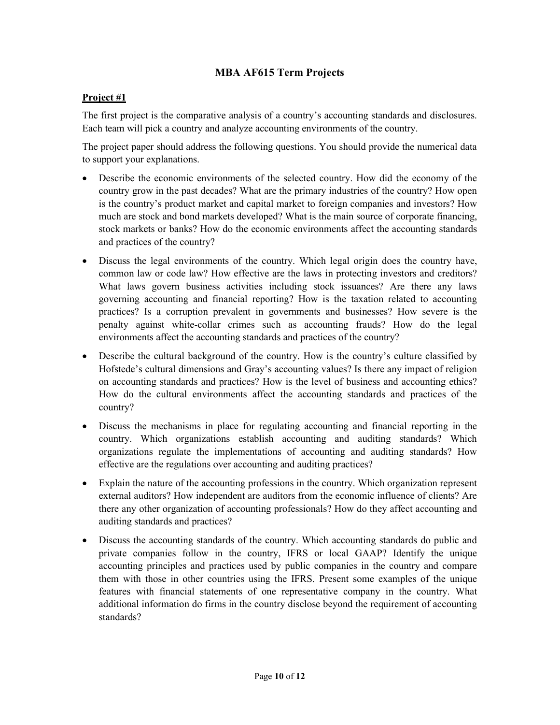# MBA AF615 Term Projects

## Project #1

The first project is the comparative analysis of a country's accounting standards and disclosures. Each team will pick a country and analyze accounting environments of the country.

The project paper should address the following questions. You should provide the numerical data to support your explanations.

- Describe the economic environments of the selected country. How did the economy of the country grow in the past decades? What are the primary industries of the country? How open is the country's product market and capital market to foreign companies and investors? How much are stock and bond markets developed? What is the main source of corporate financing, stock markets or banks? How do the economic environments affect the accounting standards and practices of the country?
- Discuss the legal environments of the country. Which legal origin does the country have, common law or code law? How effective are the laws in protecting investors and creditors? What laws govern business activities including stock issuances? Are there any laws governing accounting and financial reporting? How is the taxation related to accounting practices? Is a corruption prevalent in governments and businesses? How severe is the penalty against white-collar crimes such as accounting frauds? How do the legal environments affect the accounting standards and practices of the country?
- Describe the cultural background of the country. How is the country's culture classified by Hofstede's cultural dimensions and Gray's accounting values? Is there any impact of religion on accounting standards and practices? How is the level of business and accounting ethics? How do the cultural environments affect the accounting standards and practices of the country?
- Discuss the mechanisms in place for regulating accounting and financial reporting in the country. Which organizations establish accounting and auditing standards? Which organizations regulate the implementations of accounting and auditing standards? How effective are the regulations over accounting and auditing practices?
- Explain the nature of the accounting professions in the country. Which organization represent external auditors? How independent are auditors from the economic influence of clients? Are there any other organization of accounting professionals? How do they affect accounting and auditing standards and practices?
- Discuss the accounting standards of the country. Which accounting standards do public and private companies follow in the country, IFRS or local GAAP? Identify the unique accounting principles and practices used by public companies in the country and compare them with those in other countries using the IFRS. Present some examples of the unique features with financial statements of one representative company in the country. What additional information do firms in the country disclose beyond the requirement of accounting standards?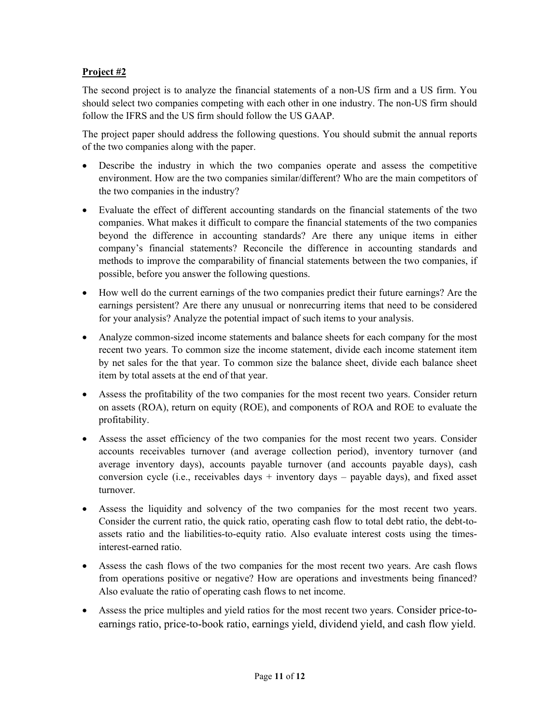# Project #2

The second project is to analyze the financial statements of a non-US firm and a US firm. You should select two companies competing with each other in one industry. The non-US firm should follow the IFRS and the US firm should follow the US GAAP.

The project paper should address the following questions. You should submit the annual reports of the two companies along with the paper.

- Describe the industry in which the two companies operate and assess the competitive environment. How are the two companies similar/different? Who are the main competitors of the two companies in the industry?
- Evaluate the effect of different accounting standards on the financial statements of the two companies. What makes it difficult to compare the financial statements of the two companies beyond the difference in accounting standards? Are there any unique items in either company's financial statements? Reconcile the difference in accounting standards and methods to improve the comparability of financial statements between the two companies, if possible, before you answer the following questions.
- How well do the current earnings of the two companies predict their future earnings? Are the earnings persistent? Are there any unusual or nonrecurring items that need to be considered for your analysis? Analyze the potential impact of such items to your analysis.
- Analyze common-sized income statements and balance sheets for each company for the most recent two years. To common size the income statement, divide each income statement item by net sales for the that year. To common size the balance sheet, divide each balance sheet item by total assets at the end of that year.
- Assess the profitability of the two companies for the most recent two years. Consider return on assets (ROA), return on equity (ROE), and components of ROA and ROE to evaluate the profitability.
- Assess the asset efficiency of the two companies for the most recent two years. Consider accounts receivables turnover (and average collection period), inventory turnover (and average inventory days), accounts payable turnover (and accounts payable days), cash conversion cycle (i.e., receivables days + inventory days – payable days), and fixed asset turnover.
- Assess the liquidity and solvency of the two companies for the most recent two years. Consider the current ratio, the quick ratio, operating cash flow to total debt ratio, the debt-toassets ratio and the liabilities-to-equity ratio. Also evaluate interest costs using the timesinterest-earned ratio.
- Assess the cash flows of the two companies for the most recent two years. Are cash flows from operations positive or negative? How are operations and investments being financed? Also evaluate the ratio of operating cash flows to net income.
- Assess the price multiples and yield ratios for the most recent two years. Consider price-toearnings ratio, price-to-book ratio, earnings yield, dividend yield, and cash flow yield.